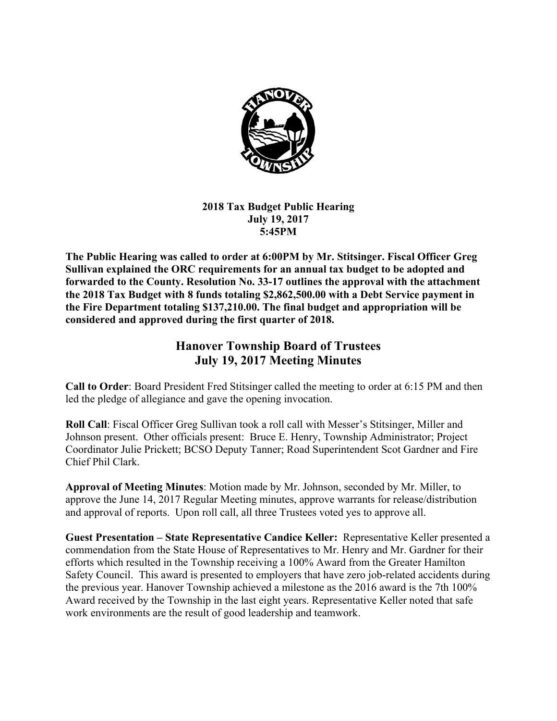

## **2018 Tax Budget Public Hearing July 19, 2017 5:45PM**

**The Public Hearing was called to order at 6:00PM by Mr. Stitsinger. Fiscal Officer Greg Sullivan explained the ORC requirements for an annual tax budget to be adopted and forwarded to the County. Resolution No. 33-17 outlines the approval with the attachment the 2018 Tax Budget with 8 funds totaling \$2,862,500.00 with a Debt Service payment in the Fire Department totaling \$137,210.00. The final budget and appropriation will be considered and approved during the first quarter of 2018.** 

# **Hanover Township Board of Trustees July 19, 2017 Meeting Minutes**

**Call to Order**: Board President Fred Stitsinger called the meeting to order at 6:15 PM and then led the pledge of allegiance and gave the opening invocation.

**Roll Call**: Fiscal Officer Greg Sullivan took a roll call with Messer's Stitsinger, Miller and Johnson present. Other officials present: Bruce E. Henry, Township Administrator; Project Coordinator Julie Prickett; BCSO Deputy Tanner; Road Superintendent Scot Gardner and Fire Chief Phil Clark.

**Approval of Meeting Minutes**: Motion made by Mr. Johnson, seconded by Mr. Miller, to approve the June 14, 2017 Regular Meeting minutes, approve warrants for release/distribution and approval of reports. Upon roll call, all three Trustees voted yes to approve all.

**Guest Presentation – State Representative Candice Keller:** Representative Keller presented a commendation from the State House of Representatives to Mr. Henry and Mr. Gardner for their efforts which resulted in the Township receiving a 100% Award from the Greater Hamilton Safety Council. This award is presented to employers that have zero job-related accidents during the previous year. Hanover Township achieved a milestone as the 2016 award is the 7th 100% Award received by the Township in the last eight years. Representative Keller noted that safe work environments are the result of good leadership and teamwork.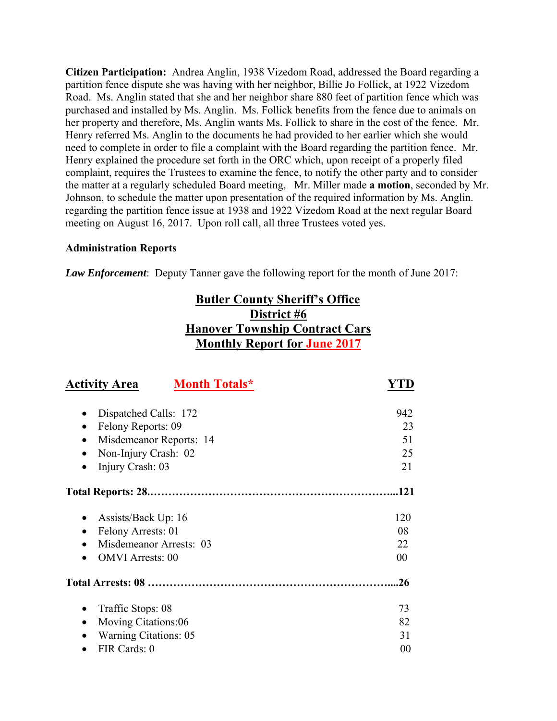**Citizen Participation:** Andrea Anglin, 1938 Vizedom Road, addressed the Board regarding a partition fence dispute she was having with her neighbor, Billie Jo Follick, at 1922 Vizedom Road. Ms. Anglin stated that she and her neighbor share 880 feet of partition fence which was purchased and installed by Ms. Anglin. Ms. Follick benefits from the fence due to animals on her property and therefore, Ms. Anglin wants Ms. Follick to share in the cost of the fence. Mr. Henry referred Ms. Anglin to the documents he had provided to her earlier which she would need to complete in order to file a complaint with the Board regarding the partition fence. Mr. Henry explained the procedure set forth in the ORC which, upon receipt of a properly filed complaint, requires the Trustees to examine the fence, to notify the other party and to consider the matter at a regularly scheduled Board meeting, Mr. Miller made **a motion**, seconded by Mr. Johnson, to schedule the matter upon presentation of the required information by Ms. Anglin. regarding the partition fence issue at 1938 and 1922 Vizedom Road at the next regular Board meeting on August 16, 2017. Upon roll call, all three Trustees voted yes.

## **Administration Reports**

*Law Enforcement*: Deputy Tanner gave the following report for the month of June 2017:

# **Butler County Sheriff's Office District #6 Hanover Township Contract Cars Monthly Report for June 2017**

| <b>Activity Area</b><br><b>Month Totals*</b> |      |
|----------------------------------------------|------|
| Dispatched Calls: 172                        | 942  |
| Felony Reports: 09<br>$\bullet$              | 23   |
| Misdemeanor Reports: 14<br>٠                 | 51   |
| Non-Injury Crash: 02                         | 25   |
| Injury Crash: 03<br>٠                        | 21   |
|                                              | .121 |
| Assists/Back Up: 16                          | 120  |
| Felony Arrests: 01<br>$\bullet$              | 08   |
| Misdemeanor Arrests: 03                      | 22   |
| <b>OMVI</b> Arrests: 00                      | 00   |
|                                              | .26  |
| Traffic Stops: 08<br>٠                       | 73   |
| Moving Citations:06                          | 82   |
| <b>Warning Citations: 05</b>                 | 31   |
| FIR Cards: 0                                 | 00   |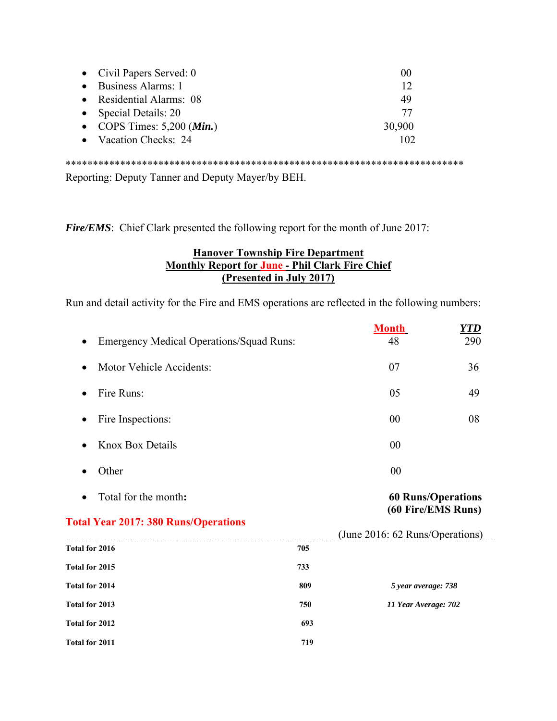| • Civil Papers Served: $0$            | 00     |
|---------------------------------------|--------|
| • Business Alarms: 1                  | 12     |
| • Residential Alarms: 08              | 49     |
| • Special Details: 20                 | 77     |
| • COPS Times: $5,200$ ( <i>Min.</i> ) | 30,900 |
| • Vacation Checks: 24                 | 102    |
|                                       |        |

Reporting: Deputy Tanner and Deputy Mayer/by BEH.

*Fire/EMS*: Chief Clark presented the following report for the month of June 2017:

## **Hanover Township Fire Department Monthly Report for June - Phil Clark Fire Chief (Presented in July 2017)**

Run and detail activity for the Fire and EMS operations are reflected in the following numbers:

|                                                 |     | <b>Month</b>                                    | <u>YTD</u> |
|-------------------------------------------------|-----|-------------------------------------------------|------------|
| <b>Emergency Medical Operations/Squad Runs:</b> |     | 48                                              | 290        |
| Motor Vehicle Accidents:                        |     | 07                                              | 36         |
| Fire Runs:                                      |     | 05                                              | 49         |
| Fire Inspections:<br>$\bullet$                  |     | 00                                              | 08         |
| Knox Box Details                                |     | 00                                              |            |
| Other                                           |     | 00                                              |            |
| Total for the month:                            |     | <b>60 Runs/Operations</b><br>(60 Fire/EMS Runs) |            |
| <b>Total Year 2017: 380 Runs/Operations</b>     |     |                                                 |            |
| Total for 2016                                  | 705 | (June 2016: 62 Runs/Operations)                 |            |
| Total for 2015                                  | 733 |                                                 |            |
| Total for 2014                                  | 809 | 5 year average: 738                             |            |
| Total for 2013                                  | 750 | 11 Year Average: 702                            |            |
| Total for 2012                                  | 693 |                                                 |            |
| <b>Total for 2011</b>                           | 719 |                                                 |            |
|                                                 |     |                                                 |            |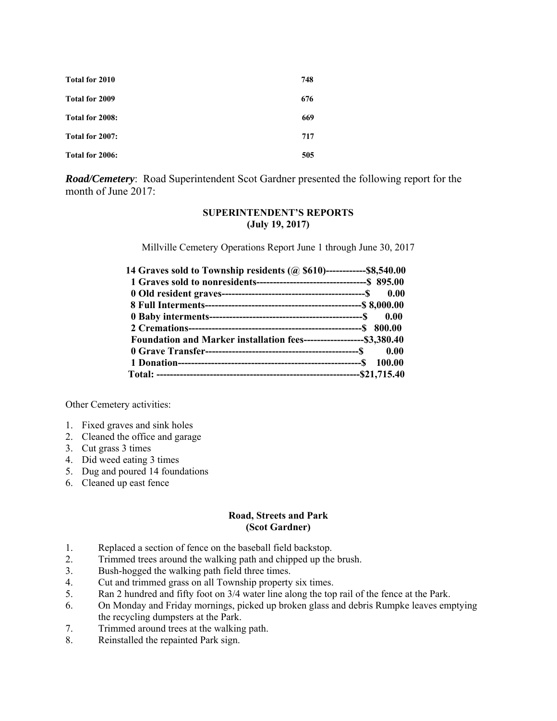| Total for 2010  | 748 |
|-----------------|-----|
| Total for 2009  | 676 |
| Total for 2008: | 669 |
| Total for 2007: | 717 |
| Total for 2006: | 505 |

*Road/Cemetery*: Road Superintendent Scot Gardner presented the following report for the month of June 2017:

### **SUPERINTENDENT'S REPORTS (July 19, 2017)**

Millville Cemetery Operations Report June 1 through June 30, 2017

| 14 Graves sold to Township residents (@ \$610)-------------\$8,540.00  |  |
|------------------------------------------------------------------------|--|
|                                                                        |  |
|                                                                        |  |
|                                                                        |  |
|                                                                        |  |
|                                                                        |  |
| Foundation and Marker installation fees---------------------\$3,380.40 |  |
|                                                                        |  |
|                                                                        |  |
|                                                                        |  |

Other Cemetery activities:

- 1. Fixed graves and sink holes
- 2. Cleaned the office and garage
- 3. Cut grass 3 times
- 4. Did weed eating 3 times
- 5. Dug and poured 14 foundations
- 6. Cleaned up east fence

#### **Road, Streets and Park (Scot Gardner)**

- 1. Replaced a section of fence on the baseball field backstop.
- 2. Trimmed trees around the walking path and chipped up the brush.
- 3. Bush-hogged the walking path field three times.
- 4. Cut and trimmed grass on all Township property six times.
- 5. Ran 2 hundred and fifty foot on 3/4 water line along the top rail of the fence at the Park.
- 6. On Monday and Friday mornings, picked up broken glass and debris Rumpke leaves emptying the recycling dumpsters at the Park.
- 7. Trimmed around trees at the walking path.
- 8. Reinstalled the repainted Park sign.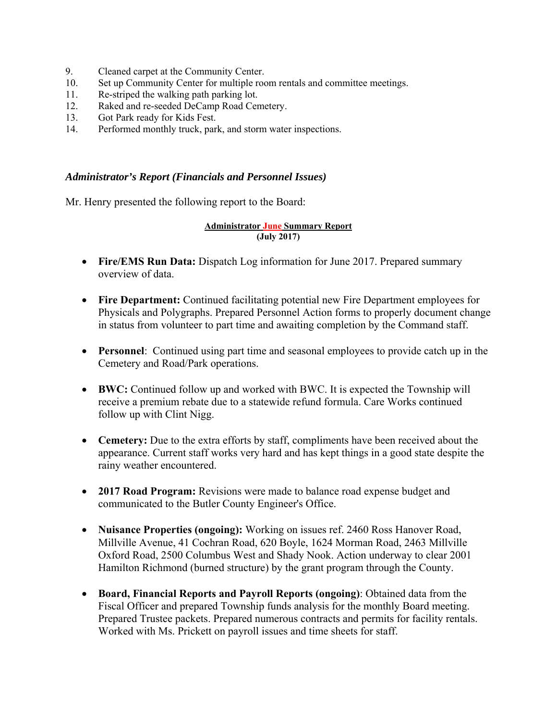- 9. Cleaned carpet at the Community Center.
- 10. Set up Community Center for multiple room rentals and committee meetings.
- 11. Re-striped the walking path parking lot.
- 12. Raked and re-seeded DeCamp Road Cemetery.
- 13. Got Park ready for Kids Fest.
- 14. Performed monthly truck, park, and storm water inspections.

### *Administrator's Report (Financials and Personnel Issues)*

Mr. Henry presented the following report to the Board:

### **Administrator June Summary Report (July 2017)**

- **Fire/EMS Run Data:** Dispatch Log information for June 2017. Prepared summary overview of data.
- **Fire Department:** Continued facilitating potential new Fire Department employees for Physicals and Polygraphs. Prepared Personnel Action forms to properly document change in status from volunteer to part time and awaiting completion by the Command staff.
- **Personnel**: Continued using part time and seasonal employees to provide catch up in the Cemetery and Road/Park operations.
- **BWC:** Continued follow up and worked with BWC. It is expected the Township will receive a premium rebate due to a statewide refund formula. Care Works continued follow up with Clint Nigg.
- **Cemetery:** Due to the extra efforts by staff, compliments have been received about the appearance. Current staff works very hard and has kept things in a good state despite the rainy weather encountered.
- **2017 Road Program:** Revisions were made to balance road expense budget and communicated to the Butler County Engineer's Office.
- **Nuisance Properties (ongoing):** Working on issues ref. 2460 Ross Hanover Road, Millville Avenue, 41 Cochran Road, 620 Boyle, 1624 Morman Road, 2463 Millville Oxford Road, 2500 Columbus West and Shady Nook. Action underway to clear 2001 Hamilton Richmond (burned structure) by the grant program through the County.
- **Board, Financial Reports and Payroll Reports (ongoing)**: Obtained data from the Fiscal Officer and prepared Township funds analysis for the monthly Board meeting. Prepared Trustee packets. Prepared numerous contracts and permits for facility rentals. Worked with Ms. Prickett on payroll issues and time sheets for staff.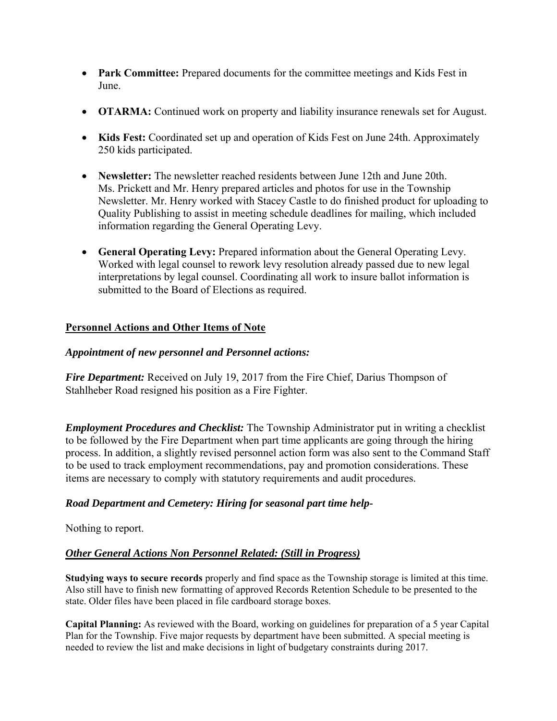- **Park Committee:** Prepared documents for the committee meetings and Kids Fest in June.
- **OTARMA:** Continued work on property and liability insurance renewals set for August.
- Kids Fest: Coordinated set up and operation of Kids Fest on June 24th. Approximately 250 kids participated.
- **Newsletter:** The newsletter reached residents between June 12th and June 20th. Ms. Prickett and Mr. Henry prepared articles and photos for use in the Township Newsletter. Mr. Henry worked with Stacey Castle to do finished product for uploading to Quality Publishing to assist in meeting schedule deadlines for mailing, which included information regarding the General Operating Levy.
- **General Operating Levy:** Prepared information about the General Operating Levy. Worked with legal counsel to rework levy resolution already passed due to new legal interpretations by legal counsel. Coordinating all work to insure ballot information is submitted to the Board of Elections as required.

## **Personnel Actions and Other Items of Note**

## *Appointment of new personnel and Personnel actions:*

*Fire Department:* Received on July 19, 2017 from the Fire Chief, Darius Thompson of Stahlheber Road resigned his position as a Fire Fighter.

*Employment Procedures and Checklist:* The Township Administrator put in writing a checklist to be followed by the Fire Department when part time applicants are going through the hiring process. In addition, a slightly revised personnel action form was also sent to the Command Staff to be used to track employment recommendations, pay and promotion considerations. These items are necessary to comply with statutory requirements and audit procedures.

## *Road Department and Cemetery: Hiring for seasonal part time help-*

## Nothing to report.

## *Other General Actions Non Personnel Related: (Still in Progress)*

**Studying ways to secure records** properly and find space as the Township storage is limited at this time. Also still have to finish new formatting of approved Records Retention Schedule to be presented to the state. Older files have been placed in file cardboard storage boxes.

**Capital Planning:** As reviewed with the Board, working on guidelines for preparation of a 5 year Capital Plan for the Township. Five major requests by department have been submitted. A special meeting is needed to review the list and make decisions in light of budgetary constraints during 2017.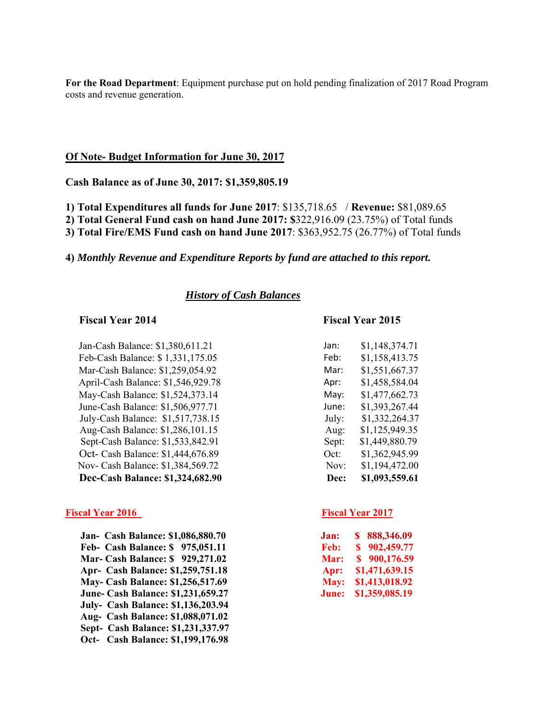**For the Road Department**: Equipment purchase put on hold pending finalization of 2017 Road Program costs and revenue generation.

#### **Of Note- Budget Information for June 30, 2017**

**Cash Balance as of June 30, 2017: \$1,359,805.19** 

**1) Total Expenditures all funds for June 2017**: \$135,718.65 / **Revenue:** \$81,089.65

**2) Total General Fund cash on hand June 2017: \$**322,916.09 (23.75%) of Total funds

**3) Total Fire/EMS Fund cash on hand June 2017**: \$363,952.75 (26.77%) of Total funds

#### **4)** *Monthly Revenue and Expenditure Reports by fund are attached to this report.*

#### *History of Cash Balances*

Jan-Cash Balance: \$1,380,611.21 Feb-Cash Balance: \$ 1,331,175.05 Feb: \$1,158,413.75 Mar-Cash Balance: \$1,259,054.92 April-Cash Balance: \$1,546,929.78 May-Cash Balance: \$1,524,373.14 June-Cash Balance: \$1,506,977.71 July-Cash Balance: \$1,517,738.15 Aug-Cash Balance: \$1,286,101.15 Sept-Cash Balance: \$1,533,842.91 Oct- Cash Balance: \$1,444,676.89 Nov- Cash Balance: \$1,384,569.72 **Dec-Cash Balance: \$1,324,682.90** 

#### **Fiscal Year 2016** Fiscal Year 2017

 **Jan- Cash Balance: \$1,086,880.70 Feb- Cash Balance: \$ 975,051.11 Mar- Cash Balance: \$ 929,271.02 Apr- Cash Balance: \$1,259,751.18 May- Cash Balance: \$1,256,517.69 June- Cash Balance: \$1,231,659.27 July- Cash Balance: \$1,136,203.94 Aug- Cash Balance: \$1,088,071.02 Sept- Cash Balance: \$1,231,337.97 Oct- Cash Balance: \$1,199,176.98** 

#### **Fiscal Year 2014 Fiscal Year 2015**

| lan:  | \$1,148,374.71 |
|-------|----------------|
| Feb:  | \$1,158,413.75 |
| Mar:  | \$1,551,667.37 |
| Apr:  | \$1,458,584.04 |
| May:  | \$1,477,662.73 |
| lune: | \$1,393,267.44 |
| July: | \$1,332,264.37 |
| Aug:  | \$1,125,949.35 |
| Sept: | \$1,449,880.79 |
| Oct:  | \$1,362,945.99 |
| Nov:  | \$1,194,472.00 |
| Dec:  | \$1,093,559.61 |
|       |                |

| Jan:  | 888,346.09<br>S |
|-------|-----------------|
| Feb:  | 902,459.77<br>S |
| Mar:  | \$900,176.59    |
| Apr:  | \$1,471,639.15  |
| May:  | \$1,413,018.92  |
| June: | \$1,359,085.19  |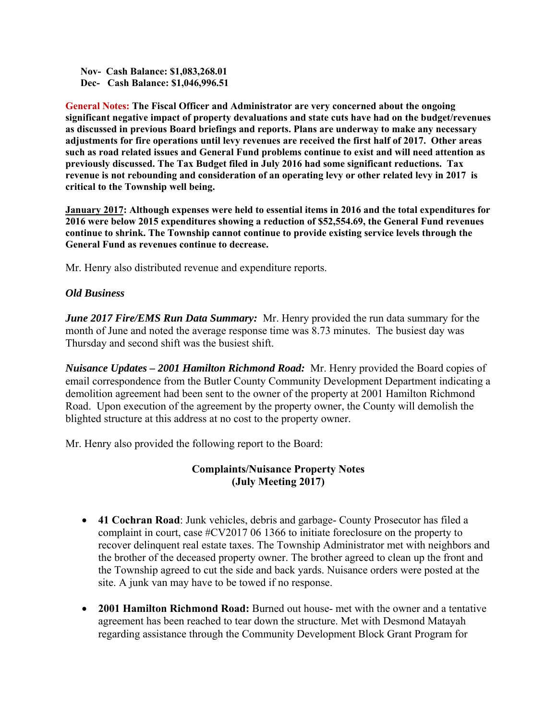**Nov- Cash Balance: \$1,083,268.01 Dec- Cash Balance: \$1,046,996.51** 

**General Notes: The Fiscal Officer and Administrator are very concerned about the ongoing significant negative impact of property devaluations and state cuts have had on the budget/revenues as discussed in previous Board briefings and reports. Plans are underway to make any necessary adjustments for fire operations until levy revenues are received the first half of 2017. Other areas such as road related issues and General Fund problems continue to exist and will need attention as previously discussed. The Tax Budget filed in July 2016 had some significant reductions. Tax revenue is not rebounding and consideration of an operating levy or other related levy in 2017 is critical to the Township well being.** 

**January 2017: Although expenses were held to essential items in 2016 and the total expenditures for 2016 were below 2015 expenditures showing a reduction of \$52,554.69, the General Fund revenues continue to shrink. The Township cannot continue to provide existing service levels through the General Fund as revenues continue to decrease.** 

Mr. Henry also distributed revenue and expenditure reports.

## *Old Business*

*June 2017 Fire/EMS Run Data Summary:* Mr. Henry provided the run data summary for the month of June and noted the average response time was 8.73 minutes. The busiest day was Thursday and second shift was the busiest shift.

*Nuisance Updates – 2001 Hamilton Richmond Road:* Mr. Henry provided the Board copies of email correspondence from the Butler County Community Development Department indicating a demolition agreement had been sent to the owner of the property at 2001 Hamilton Richmond Road. Upon execution of the agreement by the property owner, the County will demolish the blighted structure at this address at no cost to the property owner.

Mr. Henry also provided the following report to the Board:

## **Complaints/Nuisance Property Notes (July Meeting 2017)**

- **41 Cochran Road**: Junk vehicles, debris and garbage- County Prosecutor has filed a complaint in court, case #CV2017 06 1366 to initiate foreclosure on the property to recover delinquent real estate taxes. The Township Administrator met with neighbors and the brother of the deceased property owner. The brother agreed to clean up the front and the Township agreed to cut the side and back yards. Nuisance orders were posted at the site. A junk van may have to be towed if no response.
- **2001 Hamilton Richmond Road:** Burned out house- met with the owner and a tentative agreement has been reached to tear down the structure. Met with Desmond Matayah regarding assistance through the Community Development Block Grant Program for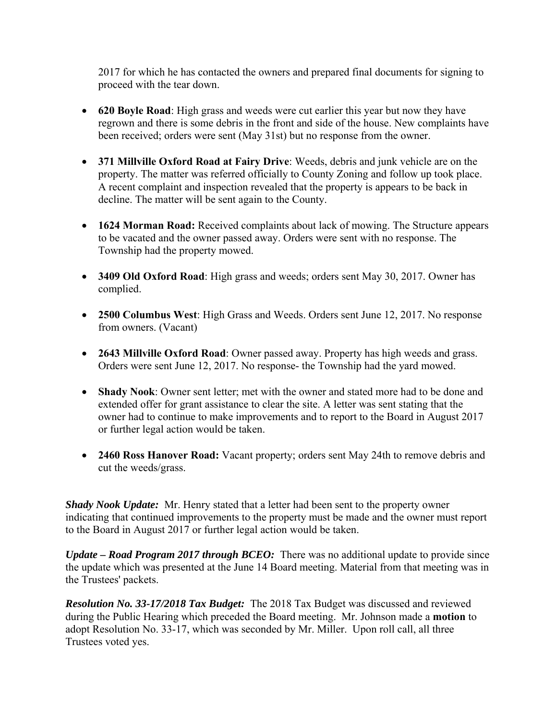2017 for which he has contacted the owners and prepared final documents for signing to proceed with the tear down.

- **620 Boyle Road**: High grass and weeds were cut earlier this year but now they have regrown and there is some debris in the front and side of the house. New complaints have been received; orders were sent (May 31st) but no response from the owner.
- **371 Millville Oxford Road at Fairy Drive**: Weeds, debris and junk vehicle are on the property. The matter was referred officially to County Zoning and follow up took place. A recent complaint and inspection revealed that the property is appears to be back in decline. The matter will be sent again to the County.
- **1624 Morman Road:** Received complaints about lack of mowing. The Structure appears to be vacated and the owner passed away. Orders were sent with no response. The Township had the property mowed.
- **3409 Old Oxford Road**: High grass and weeds; orders sent May 30, 2017. Owner has complied.
- **2500 Columbus West**: High Grass and Weeds. Orders sent June 12, 2017. No response from owners. (Vacant)
- **2643 Millville Oxford Road**: Owner passed away. Property has high weeds and grass. Orders were sent June 12, 2017. No response- the Township had the yard mowed.
- **Shady Nook**: Owner sent letter; met with the owner and stated more had to be done and extended offer for grant assistance to clear the site. A letter was sent stating that the owner had to continue to make improvements and to report to the Board in August 2017 or further legal action would be taken.
- **2460 Ross Hanover Road:** Vacant property; orders sent May 24th to remove debris and cut the weeds/grass.

*Shady Nook Update:* Mr. Henry stated that a letter had been sent to the property owner indicating that continued improvements to the property must be made and the owner must report to the Board in August 2017 or further legal action would be taken.

*Update – Road Program 2017 through BCEO:* There was no additional update to provide since the update which was presented at the June 14 Board meeting. Material from that meeting was in the Trustees' packets.

*Resolution No. 33-17/2018 Tax Budget:* The 2018 Tax Budget was discussed and reviewed during the Public Hearing which preceded the Board meeting. Mr. Johnson made a **motion** to adopt Resolution No. 33-17, which was seconded by Mr. Miller. Upon roll call, all three Trustees voted yes.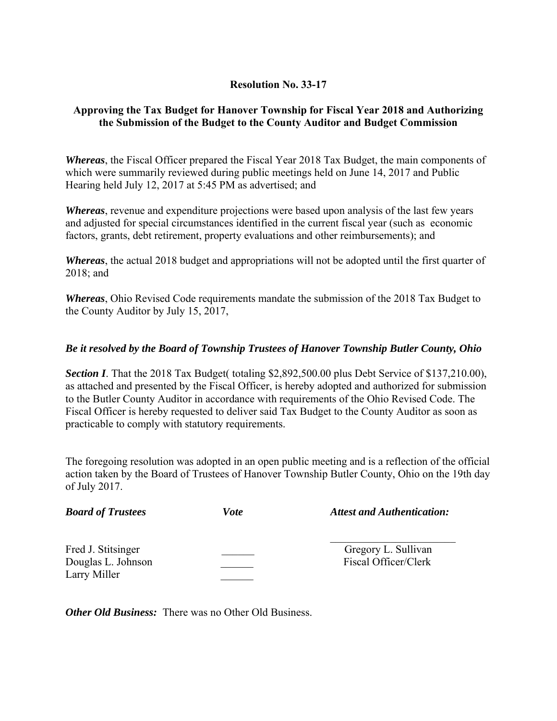## **Resolution No. 33-17**

## **Approving the Tax Budget for Hanover Township for Fiscal Year 2018 and Authorizing the Submission of the Budget to the County Auditor and Budget Commission**

*Whereas*, the Fiscal Officer prepared the Fiscal Year 2018 Tax Budget, the main components of which were summarily reviewed during public meetings held on June 14, 2017 and Public Hearing held July 12, 2017 at 5:45 PM as advertised; and

*Whereas*, revenue and expenditure projections were based upon analysis of the last few years and adjusted for special circumstances identified in the current fiscal year (such as economic factors, grants, debt retirement, property evaluations and other reimbursements); and

*Whereas*, the actual 2018 budget and appropriations will not be adopted until the first quarter of 2018; and

*Whereas*, Ohio Revised Code requirements mandate the submission of the 2018 Tax Budget to the County Auditor by July 15, 2017,

## *Be it resolved by the Board of Township Trustees of Hanover Township Butler County, Ohio*

**Section I**. That the 2018 Tax Budget( totaling \$2,892,500.00 plus Debt Service of \$137,210.00), as attached and presented by the Fiscal Officer, is hereby adopted and authorized for submission to the Butler County Auditor in accordance with requirements of the Ohio Revised Code. The Fiscal Officer is hereby requested to deliver said Tax Budget to the County Auditor as soon as practicable to comply with statutory requirements.

The foregoing resolution was adopted in an open public meeting and is a reflection of the official action taken by the Board of Trustees of Hanover Township Butler County, Ohio on the 19th day of July 2017.

| <b>Board of Trustees</b>                                 | Vote | <b>Attest and Authentication:</b>           |
|----------------------------------------------------------|------|---------------------------------------------|
| Fred J. Stitsinger<br>Douglas L. Johnson<br>Larry Miller |      | Gregory L. Sullivan<br>Fiscal Officer/Clerk |

*Other Old Business:* There was no Other Old Business.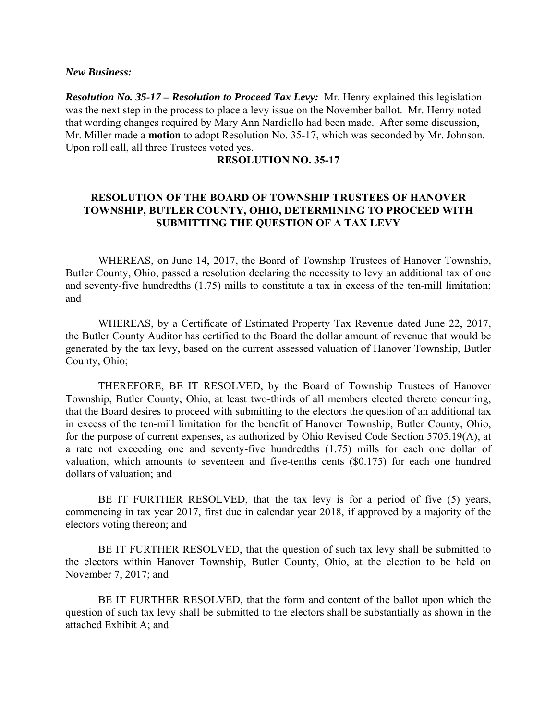*New Business:* 

*Resolution No. 35-17 – Resolution to Proceed Tax Levy:* Mr. Henry explained this legislation was the next step in the process to place a levy issue on the November ballot. Mr. Henry noted that wording changes required by Mary Ann Nardiello had been made. After some discussion, Mr. Miller made a **motion** to adopt Resolution No. 35-17, which was seconded by Mr. Johnson. Upon roll call, all three Trustees voted yes.

## **RESOLUTION NO. 35-17**

## **RESOLUTION OF THE BOARD OF TOWNSHIP TRUSTEES OF HANOVER TOWNSHIP, BUTLER COUNTY, OHIO, DETERMINING TO PROCEED WITH SUBMITTING THE QUESTION OF A TAX LEVY**

 WHEREAS, on June 14, 2017, the Board of Township Trustees of Hanover Township, Butler County, Ohio, passed a resolution declaring the necessity to levy an additional tax of one and seventy-five hundredths (1.75) mills to constitute a tax in excess of the ten-mill limitation; and

 WHEREAS, by a Certificate of Estimated Property Tax Revenue dated June 22, 2017, the Butler County Auditor has certified to the Board the dollar amount of revenue that would be generated by the tax levy, based on the current assessed valuation of Hanover Township, Butler County, Ohio;

THEREFORE, BE IT RESOLVED, by the Board of Township Trustees of Hanover Township, Butler County, Ohio, at least two-thirds of all members elected thereto concurring, that the Board desires to proceed with submitting to the electors the question of an additional tax in excess of the ten-mill limitation for the benefit of Hanover Township, Butler County, Ohio, for the purpose of current expenses, as authorized by Ohio Revised Code Section 5705.19(A), at a rate not exceeding one and seventy-five hundredths (1.75) mills for each one dollar of valuation, which amounts to seventeen and five-tenths cents (\$0.175) for each one hundred dollars of valuation; and

 BE IT FURTHER RESOLVED, that the tax levy is for a period of five (5) years, commencing in tax year 2017, first due in calendar year 2018, if approved by a majority of the electors voting thereon; and

 BE IT FURTHER RESOLVED, that the question of such tax levy shall be submitted to the electors within Hanover Township, Butler County, Ohio, at the election to be held on November 7, 2017; and

 BE IT FURTHER RESOLVED, that the form and content of the ballot upon which the question of such tax levy shall be submitted to the electors shall be substantially as shown in the attached Exhibit A; and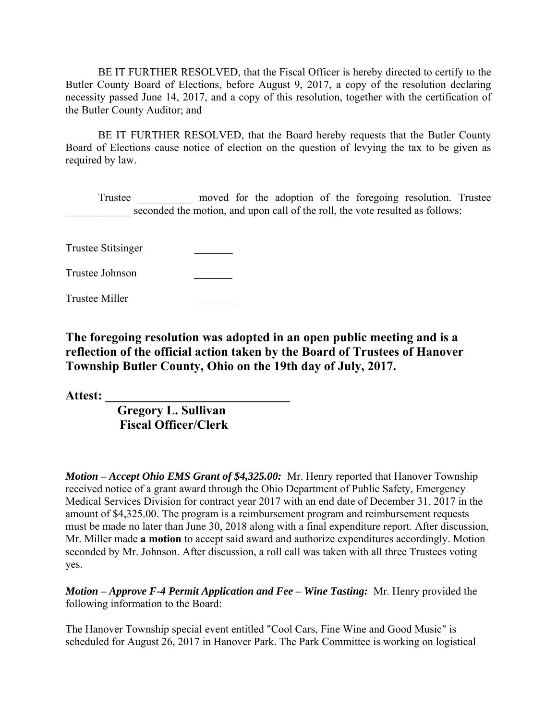BE IT FURTHER RESOLVED, that the Fiscal Officer is hereby directed to certify to the Butler County Board of Elections, before August 9, 2017, a copy of the resolution declaring necessity passed June 14, 2017, and a copy of this resolution, together with the certification of the Butler County Auditor; and

 BE IT FURTHER RESOLVED, that the Board hereby requests that the Butler County Board of Elections cause notice of election on the question of levying the tax to be given as required by law.

 Trustee \_\_\_\_\_\_\_\_\_\_ moved for the adoption of the foregoing resolution. Trustee seconded the motion, and upon call of the roll, the vote resulted as follows:

Trustee Stitsinger \_\_\_\_\_\_\_

Trustee Johnson \_\_\_\_\_\_\_

Trustee Miller \_\_\_\_\_\_\_

**The foregoing resolution was adopted in an open public meeting and is a reflection of the official action taken by the Board of Trustees of Hanover Township Butler County, Ohio on the 19th day of July, 2017.** 

**Attest: \_\_\_\_\_\_\_\_\_\_\_\_\_\_\_\_\_\_\_\_\_\_\_\_\_\_\_\_\_** 

 **Gregory L. Sullivan Fiscal Officer/Clerk** 

*Motion – Accept Ohio EMS Grant of \$4,325.00:* Mr. Henry reported that Hanover Township received notice of a grant award through the Ohio Department of Public Safety, Emergency Medical Services Division for contract year 2017 with an end date of December 31, 2017 in the amount of \$4,325.00. The program is a reimbursement program and reimbursement requests must be made no later than June 30, 2018 along with a final expenditure report. After discussion, Mr. Miller made **a motion** to accept said award and authorize expenditures accordingly. Motion seconded by Mr. Johnson. After discussion, a roll call was taken with all three Trustees voting yes.

*Motion – Approve F-4 Permit Application and Fee – Wine Tasting:* Mr. Henry provided the following information to the Board:

The Hanover Township special event entitled "Cool Cars, Fine Wine and Good Music" is scheduled for August 26, 2017 in Hanover Park. The Park Committee is working on logistical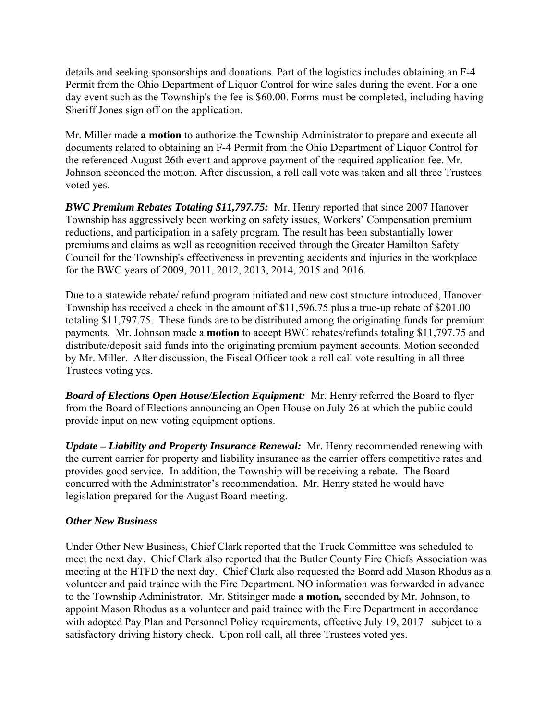details and seeking sponsorships and donations. Part of the logistics includes obtaining an F-4 Permit from the Ohio Department of Liquor Control for wine sales during the event. For a one day event such as the Township's the fee is \$60.00. Forms must be completed, including having Sheriff Jones sign off on the application.

Mr. Miller made **a motion** to authorize the Township Administrator to prepare and execute all documents related to obtaining an F-4 Permit from the Ohio Department of Liquor Control for the referenced August 26th event and approve payment of the required application fee. Mr. Johnson seconded the motion. After discussion, a roll call vote was taken and all three Trustees voted yes.

*BWC Premium Rebates Totaling \$11,797.75:* Mr. Henry reported that since 2007 Hanover Township has aggressively been working on safety issues, Workers' Compensation premium reductions, and participation in a safety program. The result has been substantially lower premiums and claims as well as recognition received through the Greater Hamilton Safety Council for the Township's effectiveness in preventing accidents and injuries in the workplace for the BWC years of 2009, 2011, 2012, 2013, 2014, 2015 and 2016.

Due to a statewide rebate/ refund program initiated and new cost structure introduced, Hanover Township has received a check in the amount of \$11,596.75 plus a true-up rebate of \$201.00 totaling \$11,797.75. These funds are to be distributed among the originating funds for premium payments. Mr. Johnson made a **motion** to accept BWC rebates/refunds totaling \$11,797.75 and distribute/deposit said funds into the originating premium payment accounts. Motion seconded by Mr. Miller. After discussion, the Fiscal Officer took a roll call vote resulting in all three Trustees voting yes.

*Board of Elections Open House/Election Equipment:* Mr. Henry referred the Board to flyer from the Board of Elections announcing an Open House on July 26 at which the public could provide input on new voting equipment options.

*Update – Liability and Property Insurance Renewal:* Mr. Henry recommended renewing with the current carrier for property and liability insurance as the carrier offers competitive rates and provides good service. In addition, the Township will be receiving a rebate. The Board concurred with the Administrator's recommendation. Mr. Henry stated he would have legislation prepared for the August Board meeting.

## *Other New Business*

Under Other New Business, Chief Clark reported that the Truck Committee was scheduled to meet the next day. Chief Clark also reported that the Butler County Fire Chiefs Association was meeting at the HTFD the next day. Chief Clark also requested the Board add Mason Rhodus as a volunteer and paid trainee with the Fire Department. NO information was forwarded in advance to the Township Administrator. Mr. Stitsinger made **a motion,** seconded by Mr. Johnson, to appoint Mason Rhodus as a volunteer and paid trainee with the Fire Department in accordance with adopted Pay Plan and Personnel Policy requirements, effective July 19, 2017 subject to a satisfactory driving history check. Upon roll call, all three Trustees voted yes.